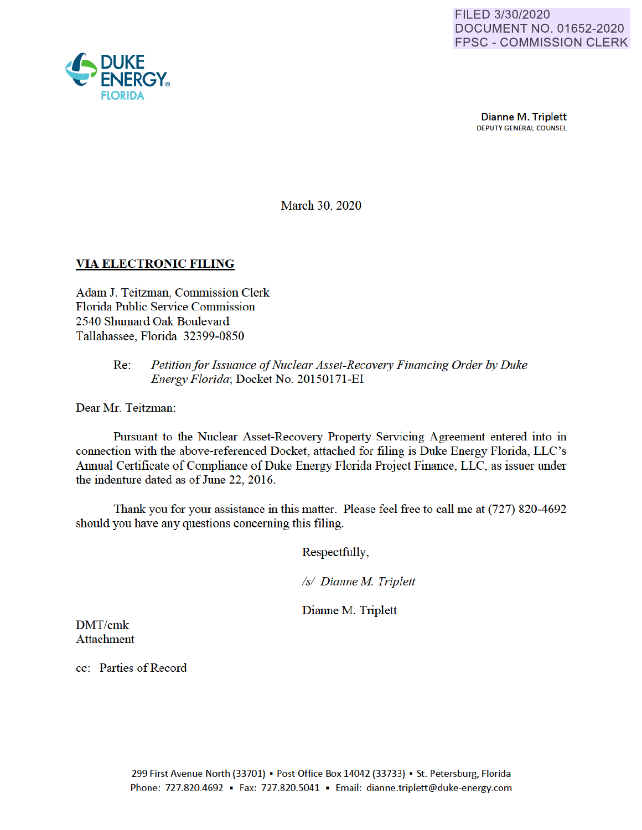

Dianne M. Triplett DEPUTY GENERAL COUNSEL

March 30, 2020

## **VIA ELECTRONIC FILING**

Adam J. Teitzman, Commission Clerk Florida Public Service Commission 2540 Shumard Oak Boulevard Tallahassee, Florida 32399-0850

## Re: *Petition for Issuance of Nuclear Asset-Recovery Financing Order by Duke Energy Florida;* Docket No. 20150171 -EI

Dear Mr. Teitzman:

Pursuant to the Nuclear Asset-Recovery Property Servicing Agreement entered into in connection with the above-referenced Docket, attached for filing is Duke Energy Florida, LLC's Annual Certificate of Compliance of Duke Energy Florida Project Finance, LLC, as issuer under the indenture dated as of June 22, 2016.

Thank you for your assistance in this matter. Please feel free to call me at (727) 820-4692 should you have any questions concerning this filing.

Respectfully

*Isl Dianne M Triplett* 

Dianne M. Triplett

DMT/cmk Attachment

cc: Patties of Record

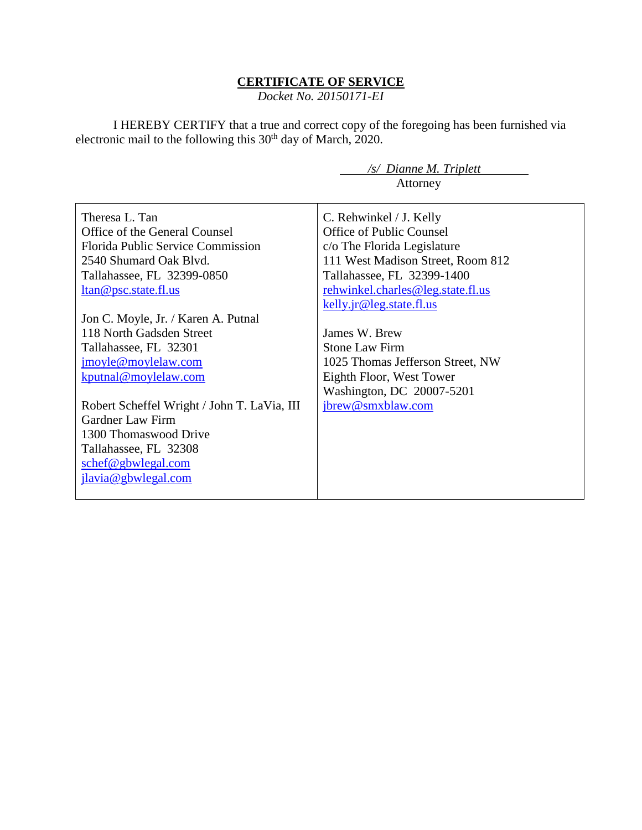## **CERTIFICATE OF SERVICE**

*Docket No. 20150171-EI*

I HEREBY CERTIFY that a true and correct copy of the foregoing has been furnished via electronic mail to the following this 30<sup>th</sup> day of March, 2020.

|                                             | /s/ Dianne M. Triplett            |
|---------------------------------------------|-----------------------------------|
|                                             | Attorney                          |
|                                             |                                   |
| Theresa L. Tan                              | C. Rehwinkel / J. Kelly           |
| Office of the General Counsel               | Office of Public Counsel          |
| <b>Florida Public Service Commission</b>    | c/o The Florida Legislature       |
| 2540 Shumard Oak Blyd.                      | 111 West Madison Street, Room 812 |
| Tallahassee, FL 32399-0850                  | Tallahassee, FL 32399-1400        |
| <u>ltan@psc.state.fl.us</u>                 | rehwinkel.charles@leg.state.fl.us |
|                                             | kelly.jr@leg.state.fl.us          |
| Jon C. Moyle, Jr. / Karen A. Putnal         |                                   |
| 118 North Gadsden Street                    | James W. Brew                     |
| Tallahassee, FL 32301                       | <b>Stone Law Firm</b>             |
| jmoyle@moylelaw.com                         | 1025 Thomas Jefferson Street, NW  |
| kputnal@moylelaw.com                        | Eighth Floor, West Tower          |
|                                             | Washington, DC 20007-5201         |
| Robert Scheffel Wright / John T. LaVia, III | jbrew@smxblaw.com                 |
| <b>Gardner Law Firm</b>                     |                                   |
| 1300 Thomaswood Drive                       |                                   |
| Tallahassee, FL 32308                       |                                   |
| schef@gbwlegal.com                          |                                   |
| jlavia@gbwlegal.com                         |                                   |
|                                             |                                   |